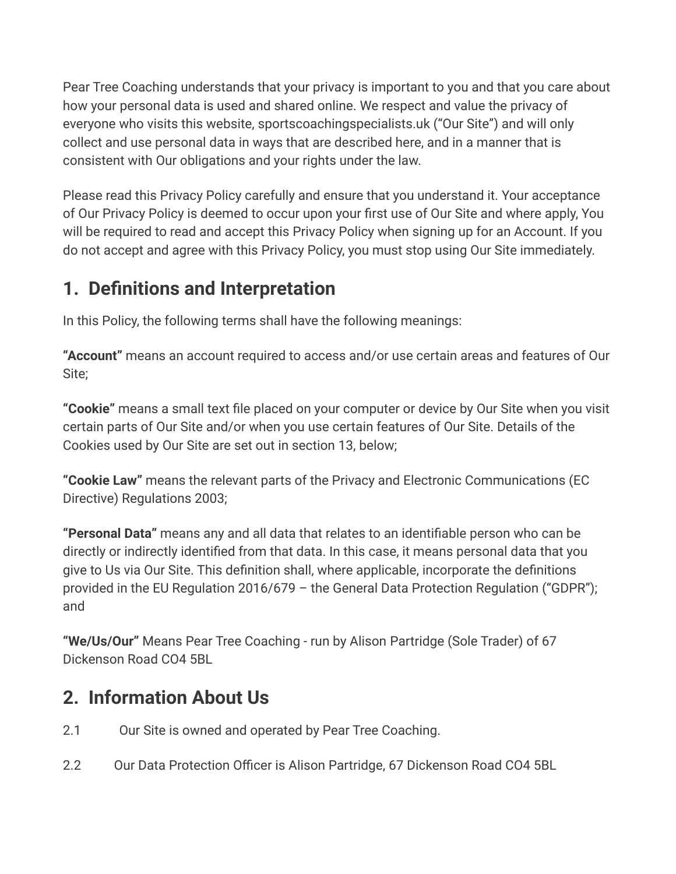Pear Tree Coaching understands that your privacy is important to you and that you care about how your personal data is used and shared online. We respect and value the privacy of everyone who visits this website, sportscoachingspecialists.uk ("Our Site") and will only collect and use personal data in ways that are described here, and in a manner that is consistent with Our obligations and your rights under the law.

Please read this Privacy Policy carefully and ensure that you understand it. Your acceptance of Our Privacy Policy is deemed to occur upon your first use of Our Site and where apply, You will be required to read and accept this Privacy Policy when signing up for an Account. If you do not accept and agree with this Privacy Policy, you must stop using Our Site immediately.

## **1. Definitions and Interpretation**

In this Policy, the following terms shall have the following meanings:

**"Account"** means an account required to access and/or use certain areas and features of Our Site;

**"Cookie"** means a small text file placed on your computer or device by Our Site when you visit certain parts of Our Site and/or when you use certain features of Our Site. Details of the Cookies used by Our Site are set out in section 13, below;

**"Cookie Law"** means the relevant parts of the Privacy and Electronic Communications (EC Directive) Regulations 2003;

**"Personal Data"** means any and all data that relates to an identifiable person who can be directly or indirectly identified from that data. In this case, it means personal data that you give to Us via Our Site. This definition shall, where applicable, incorporate the definitions provided in the EU Regulation 2016/679 – the General Data Protection Regulation ("GDPR"); and

**"We/Us/Our"** Means Pear Tree Coaching - run by Alison Partridge (Sole Trader) of 67 Dickenson Road CO4 5BL

## **2. Information About Us**

- 2.1 Our Site is owned and operated by Pear Tree Coaching.
- 2.2 Our Data Protection Officer is Alison Partridge, 67 Dickenson Road CO4 5BL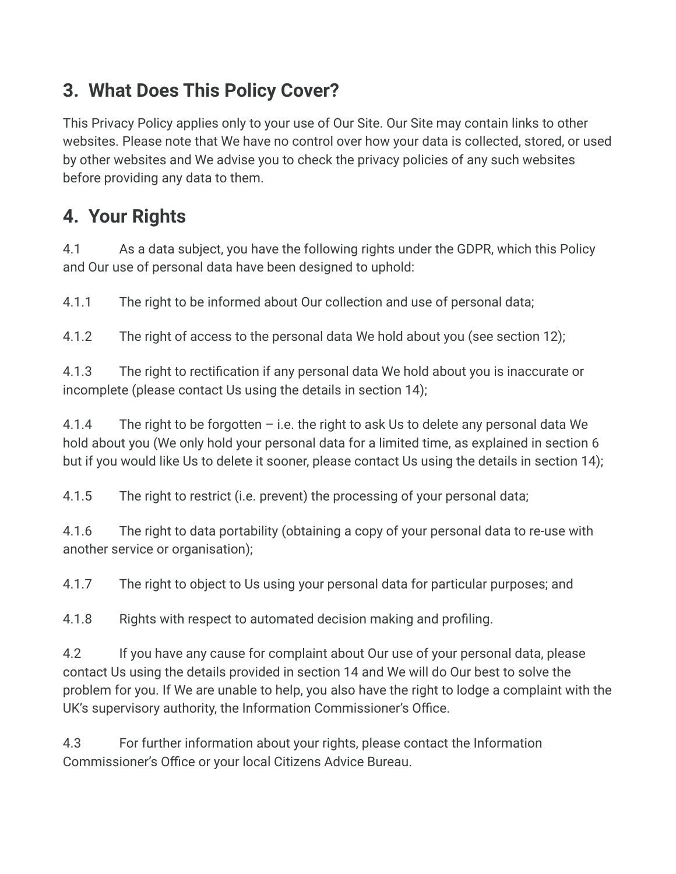## **3. What Does This Policy Cover?**

This Privacy Policy applies only to your use of Our Site. Our Site may contain links to other websites. Please note that We have no control over how your data is collected, stored, or used by other websites and We advise you to check the privacy policies of any such websites before providing any data to them.

# **4. Your Rights**

4.1 As a data subject, you have the following rights under the GDPR, which this Policy and Our use of personal data have been designed to uphold:

4.1.1 The right to be informed about Our collection and use of personal data;

4.1.2 The right of access to the personal data We hold about you (see section 12);

4.1.3 The right to rectification if any personal data We hold about you is inaccurate or incomplete (please contact Us using the details in section 14);

4.1.4 The right to be forgotten  $-$  i.e. the right to ask Us to delete any personal data We hold about you (We only hold your personal data for a limited time, as explained in section 6 but if you would like Us to delete it sooner, please contact Us using the details in section 14);

4.1.5 The right to restrict (i.e. prevent) the processing of your personal data;

4.1.6 The right to data portability (obtaining a copy of your personal data to re-use with another service or organisation);

4.1.7 The right to object to Us using your personal data for particular purposes; and

4.1.8 Rights with respect to automated decision making and profiling.

4.2 If you have any cause for complaint about Our use of your personal data, please contact Us using the details provided in section 14 and We will do Our best to solve the problem for you. If We are unable to help, you also have the right to lodge a complaint with the UK's supervisory authority, the Information Commissioner's Office.

4.3 For further information about your rights, please contact the Information Commissioner's Office or your local Citizens Advice Bureau.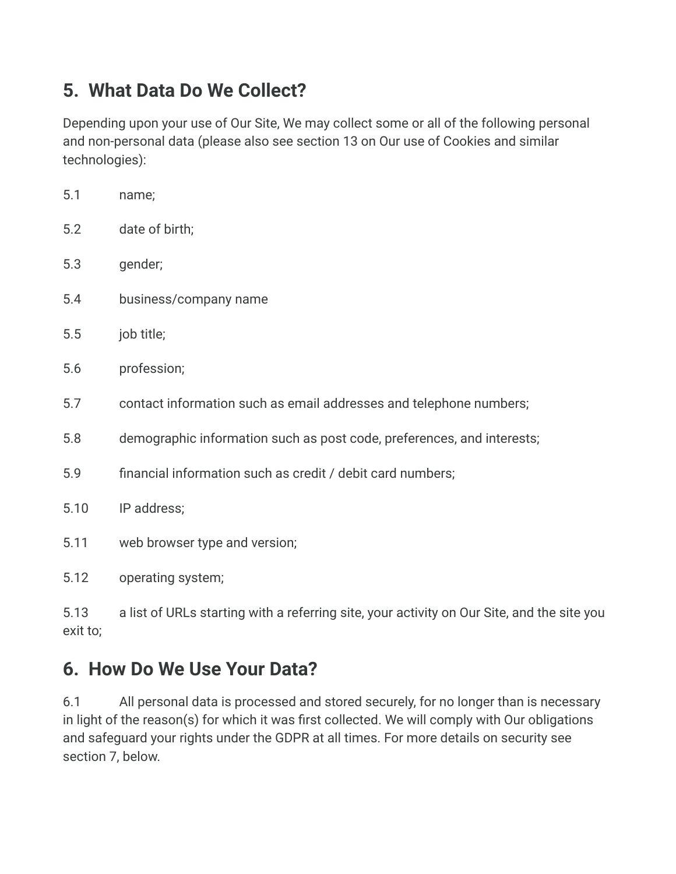## **5. What Data Do We Collect?**

Depending upon your use of Our Site, We may collect some or all of the following personal and non-personal data (please also see section 13 on Our use of Cookies and similar technologies):

| 5.1  | name;                                                                  |
|------|------------------------------------------------------------------------|
| 5.2  | date of birth;                                                         |
| 5.3  | gender;                                                                |
| 5.4  | business/company name                                                  |
| 5.5  | job title;                                                             |
| 5.6  | profession;                                                            |
| 5.7  | contact information such as email addresses and telephone numbers;     |
| 5.8  | demographic information such as post code, preferences, and interests; |
| 5.9  | financial information such as credit / debit card numbers;             |
| 5.10 | IP address;                                                            |
| 5.11 | web browser type and version;                                          |
| 5.12 | operating system;                                                      |

5.13 a list of URLs starting with a referring site, your activity on Our Site, and the site you exit to;

# **6. How Do We Use Your Data?**

6.1 All personal data is processed and stored securely, for no longer than is necessary in light of the reason(s) for which it was first collected. We will comply with Our obligations and safeguard your rights under the GDPR at all times. For more details on security see section 7, below.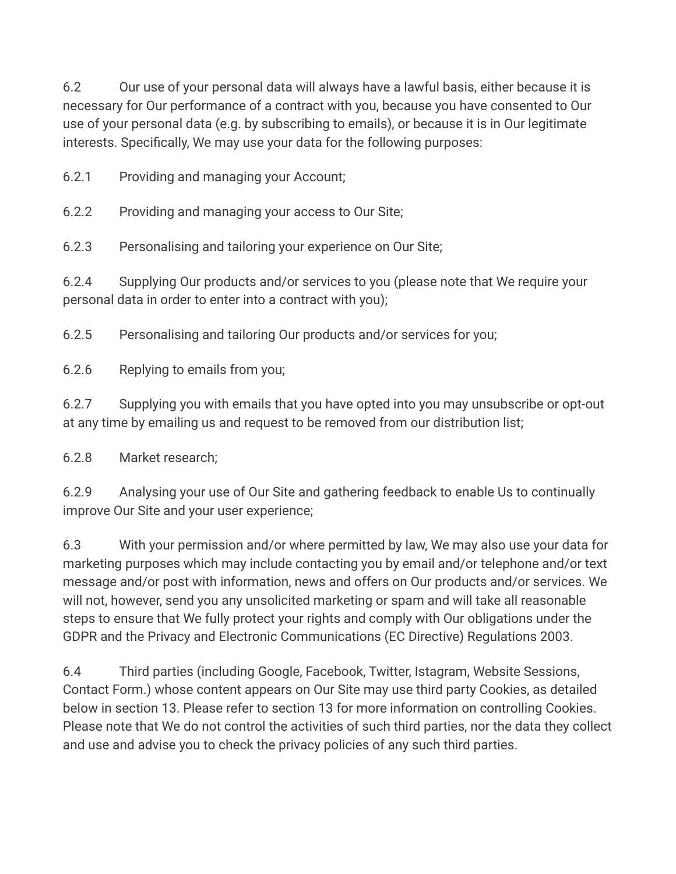6.2 Our use of your personal data will always have a lawful basis, either because it is necessary for Our performance of a contract with you, because you have consented to Our use of your personal data (e.g. by subscribing to emails), or because it is in Our legitimate interests. Specifically, We may use your data for the following purposes:

6.2.1 Providing and managing your Account;

6.2.2 Providing and managing your access to Our Site;

6.2.3 Personalising and tailoring your experience on Our Site;

6.2.4 Supplying Our products and/or services to you (please note that We require your personal data in order to enter into a contract with you);

6.2.5 Personalising and tailoring Our products and/or services for you;

6.2.6 Replying to emails from you;

6.2.7 Supplying you with emails that you have opted into you may unsubscribe or opt-out at any time by emailing us and request to be removed from our distribution list;

6.2.8 Market research;

6.2.9 Analysing your use of Our Site and gathering feedback to enable Us to continually improve Our Site and your user experience;

6.3 With your permission and/or where permitted by law, We may also use your data for marketing purposes which may include contacting you by email and/or telephone and/or text message and/or post with information, news and offers on Our products and/or services. We will not, however, send you any unsolicited marketing or spam and will take all reasonable steps to ensure that We fully protect your rights and comply with Our obligations under the GDPR and the Privacy and Electronic Communications (EC Directive) Regulations 2003.

6.4 Third parties (including Google, Facebook, Twitter, Istagram, Website Sessions, Contact Form.) whose content appears on Our Site may use third party Cookies, as detailed below in section 13. Please refer to section 13 for more information on controlling Cookies. Please note that We do not control the activities of such third parties, nor the data they collect and use and advise you to check the privacy policies of any such third parties.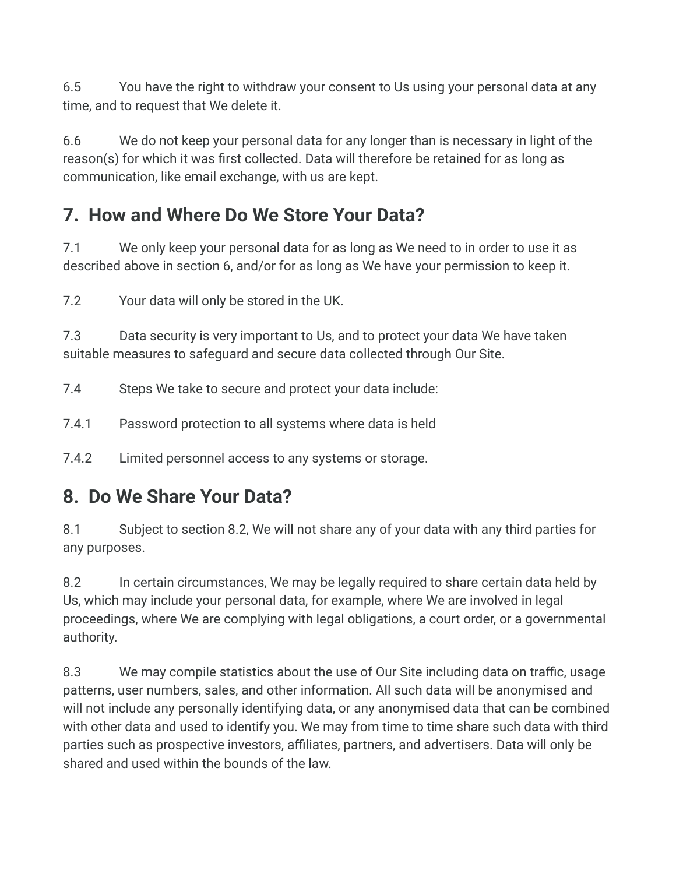6.5 You have the right to withdraw your consent to Us using your personal data at any time, and to request that We delete it.

6.6 We do not keep your personal data for any longer than is necessary in light of the reason(s) for which it was first collected. Data will therefore be retained for as long as communication, like email exchange, with us are kept.

# **7. How and Where Do We Store Your Data?**

7.1 We only keep your personal data for as long as We need to in order to use it as described above in section 6, and/or for as long as We have your permission to keep it.

7.2 Your data will only be stored in the UK.

7.3 Data security is very important to Us, and to protect your data We have taken suitable measures to safeguard and secure data collected through Our Site.

7.4 Steps We take to secure and protect your data include:

7.4.1 Password protection to all systems where data is held

7.4.2 Limited personnel access to any systems or storage.

#### **8. Do We Share Your Data?**

8.1 Subject to section 8.2, We will not share any of your data with any third parties for any purposes.

8.2 In certain circumstances, We may be legally required to share certain data held by Us, which may include your personal data, for example, where We are involved in legal proceedings, where We are complying with legal obligations, a court order, or a governmental authority.

8.3 We may compile statistics about the use of Our Site including data on traffic, usage patterns, user numbers, sales, and other information. All such data will be anonymised and will not include any personally identifying data, or any anonymised data that can be combined with other data and used to identify you. We may from time to time share such data with third parties such as prospective investors, affiliates, partners, and advertisers. Data will only be shared and used within the bounds of the law.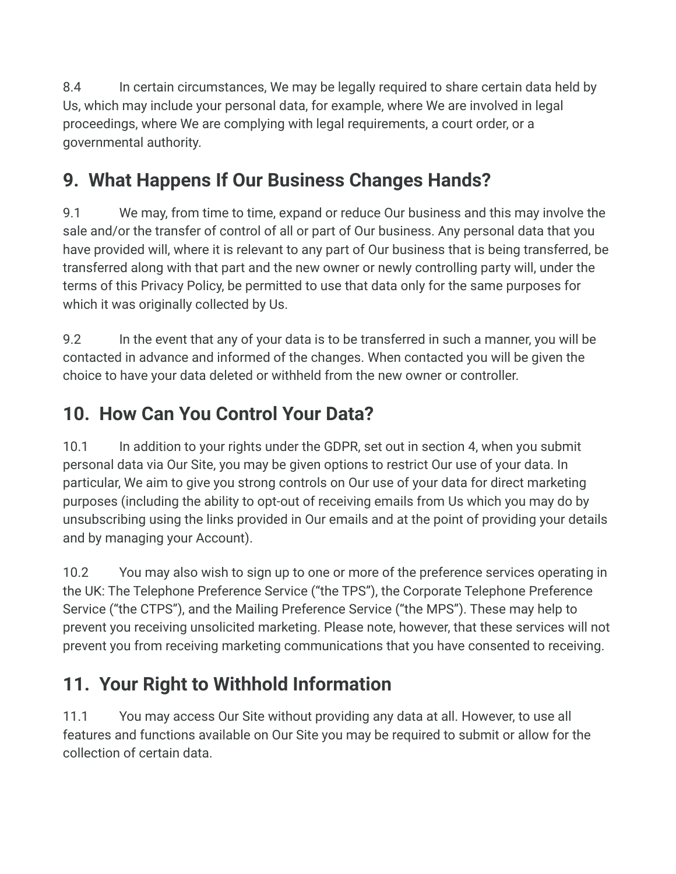8.4 In certain circumstances, We may be legally required to share certain data held by Us, which may include your personal data, for example, where We are involved in legal proceedings, where We are complying with legal requirements, a court order, or a governmental authority.

# **9. What Happens If Our Business Changes Hands?**

9.1 We may, from time to time, expand or reduce Our business and this may involve the sale and/or the transfer of control of all or part of Our business. Any personal data that you have provided will, where it is relevant to any part of Our business that is being transferred, be transferred along with that part and the new owner or newly controlling party will, under the terms of this Privacy Policy, be permitted to use that data only for the same purposes for which it was originally collected by Us.

9.2 In the event that any of your data is to be transferred in such a manner, you will be contacted in advance and informed of the changes. When contacted you will be given the choice to have your data deleted or withheld from the new owner or controller.

# **10. How Can You Control Your Data?**

10.1 In addition to your rights under the GDPR, set out in section 4, when you submit personal data via Our Site, you may be given options to restrict Our use of your data. In particular, We aim to give you strong controls on Our use of your data for direct marketing purposes (including the ability to opt-out of receiving emails from Us which you may do by unsubscribing using the links provided in Our emails and at the point of providing your details and by managing your Account).

10.2 You may also wish to sign up to one or more of the preference services operating in the UK: The Telephone Preference Service ("the TPS"), the Corporate Telephone Preference Service ("the CTPS"), and the Mailing Preference Service ("the MPS"). These may help to prevent you receiving unsolicited marketing. Please note, however, that these services will not prevent you from receiving marketing communications that you have consented to receiving.

# **11. Your Right to Withhold Information**

11.1 You may access Our Site without providing any data at all. However, to use all features and functions available on Our Site you may be required to submit or allow for the collection of certain data.